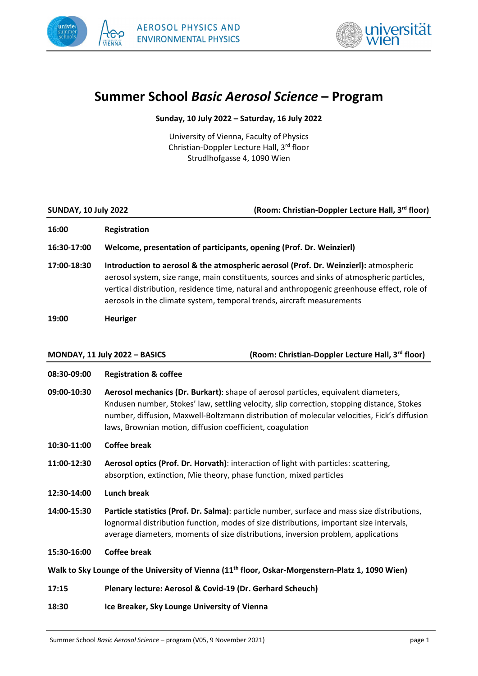



# **Summer School** *Basic Aerosol Science* **– Program**

**Sunday, 10 July 2022 – Saturday, 16 July 2022**

University of Vienna, Faculty of Physics Christian‐Doppler Lecture Hall, 3rd floor Strudlhofgasse 4, 1090 Wien

| <b>SUNDAY, 10 July 2022</b> | (Room: Christian-Doppler Lecture Hall, 3rd floor)                                                                                                                                                                                                                                                                                                           |
|-----------------------------|-------------------------------------------------------------------------------------------------------------------------------------------------------------------------------------------------------------------------------------------------------------------------------------------------------------------------------------------------------------|
| 16:00                       | <b>Registration</b>                                                                                                                                                                                                                                                                                                                                         |
| 16:30-17:00                 | Welcome, presentation of participants, opening (Prof. Dr. Weinzierl)                                                                                                                                                                                                                                                                                        |
| 17:00-18:30                 | Introduction to aerosol & the atmospheric aerosol (Prof. Dr. Weinzierl): atmospheric<br>aerosol system, size range, main constituents, sources and sinks of atmospheric particles,<br>vertical distribution, residence time, natural and anthropogenic greenhouse effect, role of<br>aerosols in the climate system, temporal trends, aircraft measurements |
| 19:00                       | <b>Heuriger</b>                                                                                                                                                                                                                                                                                                                                             |
|                             | (Room: Christian-Doppler Lecture Hall, 3rd floor)<br>MONDAY, 11 July 2022 - BASICS                                                                                                                                                                                                                                                                          |
| 08:30-09:00                 | <b>Registration &amp; coffee</b>                                                                                                                                                                                                                                                                                                                            |
| 09:00-10:30                 | Aerosol mechanics (Dr. Burkart): shape of aerosol particles, equivalent diameters,<br>Kndusen number, Stokes' law, settling velocity, slip correction, stopping distance, Stokes<br>number, diffusion, Maxwell-Boltzmann distribution of molecular velocities, Fick's diffusion<br>laws, Brownian motion, diffusion coefficient, coagulation                |
| 10:30-11:00                 | <b>Coffee break</b>                                                                                                                                                                                                                                                                                                                                         |
| 11:00-12:30                 | Aerosol optics (Prof. Dr. Horvath): interaction of light with particles: scattering,<br>absorption, extinction, Mie theory, phase function, mixed particles                                                                                                                                                                                                 |
| 12:30-14:00                 | <b>Lunch break</b>                                                                                                                                                                                                                                                                                                                                          |
| 14:00-15:30                 | Particle statistics (Prof. Dr. Salma): particle number, surface and mass size distributions,<br>lognormal distribution function, modes of size distributions, important size intervals,<br>average diameters, moments of size distributions, inversion problem, applications                                                                                |
| 15:30-16:00                 | <b>Coffee break</b>                                                                                                                                                                                                                                                                                                                                         |
|                             | Walk to Sky Lounge of the University of Vienna (11 <sup>th</sup> floor, Oskar-Morgenstern-Platz 1, 1090 Wien)                                                                                                                                                                                                                                               |
| 17:15                       | Plenary lecture: Aerosol & Covid-19 (Dr. Gerhard Scheuch)                                                                                                                                                                                                                                                                                                   |
| 18:30                       | Ice Breaker, Sky Lounge University of Vienna                                                                                                                                                                                                                                                                                                                |
|                             |                                                                                                                                                                                                                                                                                                                                                             |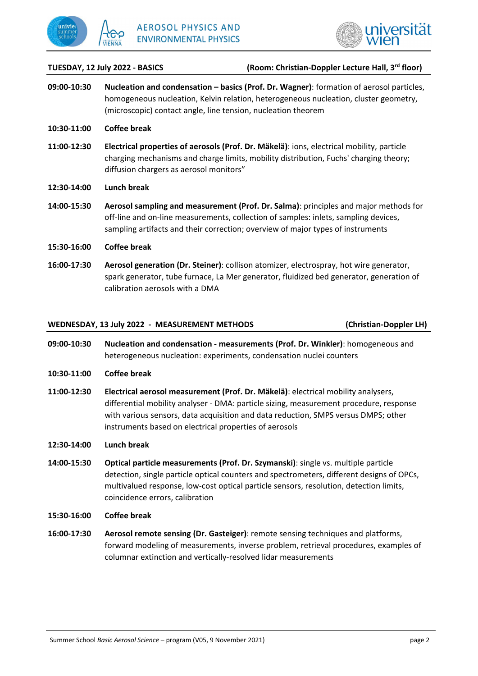



#### **TUESDAY, 12 July 2022 ‐ BASICS (Room: Christian‐Doppler Lecture Hall, 3rd floor)**

- **09:00‐10:30 Nucleation and condensation – basics (Prof. Dr. Wagner)**: formation of aerosol particles, homogeneous nucleation, Kelvin relation, heterogeneous nucleation, cluster geometry, (microscopic) contact angle, line tension, nucleation theorem
- **10:30‐11:00 Coffee break**
- **11:00‐12:30 Electrical properties of aerosols (Prof. Dr. Mäkelä)**: ions, electrical mobility, particle charging mechanisms and charge limits, mobility distribution, Fuchs' charging theory; diffusion chargers as aerosol monitors"
- **12:30‐14:00 Lunch break**
- **14:00‐15:30 Aerosol sampling and measurement (Prof. Dr. Salma)**: principles and major methods for off-line and on-line measurements, collection of samples: inlets, sampling devices, sampling artifacts and their correction; overview of major types of instruments
- **15:30‐16:00 Coffee break**
- **16:00‐17:30 Aerosol generation (Dr. Steiner)**: collison atomizer, electrospray, hot wire generator, spark generator, tube furnace, La Mer generator, fluidized bed generator, generation of calibration aerosols with a DMA

### **WEDNESDAY, 13 July 2022 ‐ MEASUREMENT METHODS (Christian‐Doppler LH)**

- 
- **09:00‐10:30 Nucleation and condensation ‐ measurements (Prof. Dr. Winkler)**: homogeneous and heterogeneous nucleation: experiments, condensation nuclei counters
- **10:30‐11:00 Coffee break**
- **11:00‐12:30 Electrical aerosol measurement (Prof. Dr. Mäkelä)**: electrical mobility analysers, differential mobility analyser ‐ DMA: particle sizing, measurement procedure, response with various sensors, data acquisition and data reduction, SMPS versus DMPS; other instruments based on electrical properties of aerosols

#### **12:30‐14:00 Lunch break**

**14:00‐15:30 Optical particle measurements (Prof. Dr. Szymanski)**: single vs. multiple particle detection, single particle optical counters and spectrometers, different designs of OPCs, multivalued response, low‐cost optical particle sensors, resolution, detection limits, coincidence errors, calibration

#### **15:30‐16:00 Coffee break**

**16:00‐17:30 Aerosol remote sensing (Dr. Gasteiger)**: remote sensing techniques and platforms, forward modeling of measurements, inverse problem, retrieval procedures, examples of columnar extinction and vertically‐resolved lidar measurements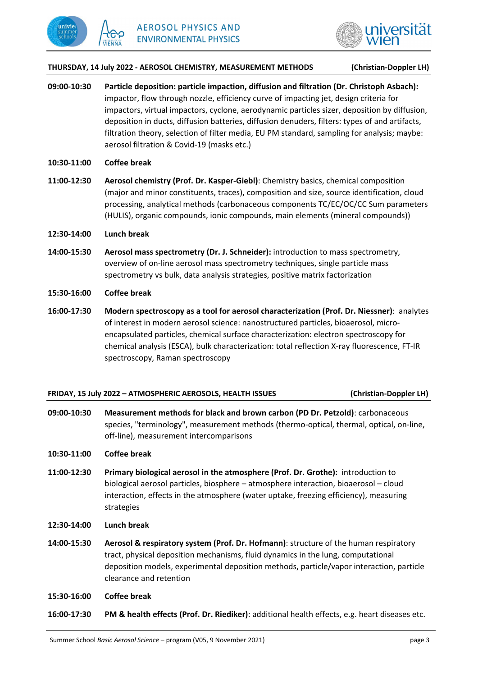



#### **THURSDAY, 14 July 2022 ‐ AEROSOL CHEMISTRY, MEASUREMENT METHODS (Christian‐Doppler LH)**

- **09:00‐10:30 Particle deposition: particle impaction, diffusion and filtration (Dr. Christoph Asbach):** impactor, flow through nozzle, efficiency curve of impacting jet, design criteria for impactors, virtual impactors, cyclone, aerodynamic particles sizer, deposition by diffusion, deposition in ducts, diffusion batteries, diffusion denuders, filters: types of and artifacts, filtration theory, selection of filter media, EU PM standard, sampling for analysis; maybe: aerosol filtration & Covid‐19 (masks etc.)
- **10:30‐11:00 Coffee break**
- **11:00‐12:30 Aerosol chemistry (Prof. Dr. Kasper‐Giebl)**: Chemistry basics, chemical composition (major and minor constituents, traces), composition and size, source identification, cloud processing, analytical methods (carbonaceous components TC/EC/OC/CC Sum parameters (HULIS), organic compounds, ionic compounds, main elements (mineral compounds))
- **12:30‐14:00 Lunch break**
- **14:00‐15:30 Aerosol mass spectrometry (Dr. J. Schneider):** introduction to mass spectrometry, overview of on‐line aerosol mass spectrometry techniques, single particle mass spectrometry vs bulk, data analysis strategies, positive matrix factorization
- **15:30‐16:00 Coffee break**
- **16:00‐17:30 Modern spectroscopy as a tool for aerosol characterization (Prof. Dr. Niessner)**: analytes of interest in modern aerosol science: nanostructured particles, bioaerosol, micro‐ encapsulated particles, chemical surface characterization: electron spectroscopy for chemical analysis (ESCA), bulk characterization: total reflection X‐ray fluorescence, FT‐IR spectroscopy, Raman spectroscopy

### **FRIDAY, 15 July 2022 – ATMOSPHERIC AEROSOLS, HEALTH ISSUES (Christian‐Doppler LH)**

**09:00‐10:30 Measurement methods for black and brown carbon (PD Dr. Petzold)**: carbonaceous species, "terminology", measurement methods (thermo-optical, thermal, optical, on-line, off‐line), measurement intercomparisons

## **10:30‐11:00 Coffee break**

- **11:00‐12:30 Primary biological aerosol in the atmosphere (Prof. Dr. Grothe):** introduction to biological aerosol particles, biosphere – atmosphere interaction, bioaerosol – cloud interaction, effects in the atmosphere (water uptake, freezing efficiency), measuring strategies
- **12:30‐14:00 Lunch break**
- **14:00‐15:30 Aerosol & respiratory system (Prof. Dr. Hofmann)**: structure of the human respiratory tract, physical deposition mechanisms, fluid dynamics in the lung, computational deposition models, experimental deposition methods, particle/vapor interaction, particle clearance and retention
- **15:30‐16:00 Coffee break**
- **16:00‐17:30 PM & health effects (Prof. Dr. Riediker)**: additional health effects, e.g. heart diseases etc.